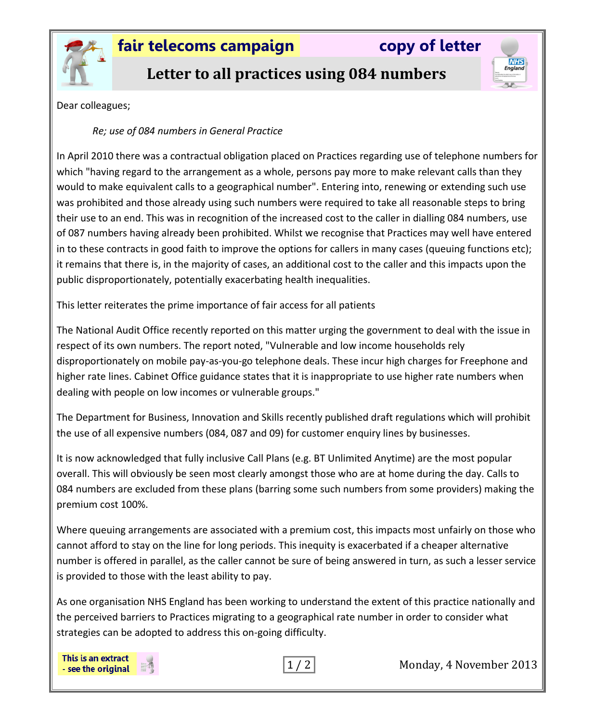

## **fair telecoms campaign copy of letter**

**NHS**<br>England

# **Letter to all practices using 084 numbers**

Dear colleagues;

### *Re; use of 084 numbers in General Practice*

In April 2010 there was a contractual obligation placed on Practices regarding use of telephone numbers for which "having regard to the arrangement as a whole, persons pay more to make relevant calls than they would to make equivalent calls to a geographical number". Entering into, renewing or extending such use was prohibited and those already using such numbers were required to take all reasonable steps to bring their use to an end. This was in recognition of the increased cost to the caller in dialling 084 numbers, use of 087 numbers having already been prohibited. Whilst we recognise that Practices may well have entered in to these contracts in good faith to improve the options for callers in many cases (queuing functions etc); it remains that there is, in the majority of cases, an additional cost to the caller and this impacts upon the public disproportionately, potentially exacerbating health inequalities.

This letter reiterates the prime importance of fair access for all patients

The National Audit Office recently reported on this matter urging the government to deal with the issue in respect of its own numbers. The report noted, "Vulnerable and low income households rely disproportionately on mobile pay-as-you-go telephone deals. These incur high charges for Freephone and higher rate lines. Cabinet Office guidance states that it is inappropriate to use higher rate numbers when dealing with people on low incomes or vulnerable groups."

The Department for Business, Innovation and Skills recently published draft regulations which will prohibit the use of all expensive numbers (084, 087 and 09) for customer enquiry lines by businesses.

It is now acknowledged that fully inclusive Call Plans (e.g. BT Unlimited Anytime) are the most popular overall. This will obviously be seen most clearly amongst those who are at home during the day. Calls to 084 numbers are excluded from these plans (barring some such numbers from some providers) making the premium cost 100%.

Where queuing arrangements are associated with a premium cost, this impacts most unfairly on those who cannot afford to stay on the line for long periods. This inequity is exacerbated if a cheaper alternative number is offered in parallel, as the caller cannot be sure of being answered in turn, as such a lesser service is provided to those with the least ability to pay.

As one organisation NHS England has been working to understand the extent of this practice nationally and the perceived barriers to Practices migrating to a geographical rate number in order to consider what strategies can be adopted to address this on-going difficulty.

This is an extract - see the original



1 / 2 Monday, 4 November 2013